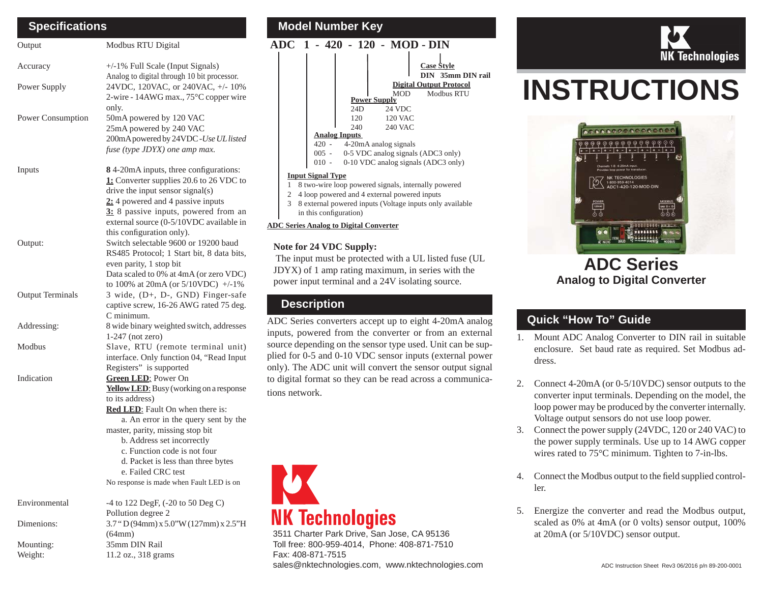| <b>Specifications</b>   |                                                                                                                                                                                                                                                                                                                                                                                       |  |  |  |
|-------------------------|---------------------------------------------------------------------------------------------------------------------------------------------------------------------------------------------------------------------------------------------------------------------------------------------------------------------------------------------------------------------------------------|--|--|--|
| Output                  | Modbus RTU Digital                                                                                                                                                                                                                                                                                                                                                                    |  |  |  |
| Accuracy                | +/-1% Full Scale (Input Signals)                                                                                                                                                                                                                                                                                                                                                      |  |  |  |
| Power Supply            | Analog to digital through 10 bit processor.<br>24VDC, 120VAC, or 240VAC, +/- 10%<br>2-wire - 14AWG max., 75°C copper wire<br>only.                                                                                                                                                                                                                                                    |  |  |  |
| Power Consumption       | 50mA powered by 120 VAC<br>25mA powered by 240 VAC<br>200mA powered by 24VDC -Use UL listed<br>fuse (type JDYX) one amp max.                                                                                                                                                                                                                                                          |  |  |  |
| Inputs                  | 8 4-20mA inputs, three configurations:<br>1: Converter supplies 20.6 to 26 VDC to<br>drive the input sensor signal(s)<br>2: 4 powered and 4 passive inputs<br>3: 8 passive inputs, powered from an<br>external source (0-5/10VDC available in                                                                                                                                         |  |  |  |
| Output:                 | this configuration only).<br>Switch selectable 9600 or 19200 baud<br>RS485 Protocol; 1 Start bit, 8 data bits,<br>even parity, 1 stop bit<br>Data scaled to 0% at 4mA (or zero VDC)                                                                                                                                                                                                   |  |  |  |
| <b>Output Terminals</b> | to 100% at 20mA (or $5/10$ VDC) +/-1%<br>3 wide, (D+, D-, GND) Finger-safe<br>captive screw, 16-26 AWG rated 75 deg.<br>C minimum.                                                                                                                                                                                                                                                    |  |  |  |
| Addressing:             | 8 wide binary weighted switch, addresses<br>$1-247$ (not zero)                                                                                                                                                                                                                                                                                                                        |  |  |  |
| Modbus                  | Slave, RTU (remote terminal unit)<br>interface. Only function 04, "Read Input<br>Registers" is supported                                                                                                                                                                                                                                                                              |  |  |  |
| Indication              | <b>Green LED:</b> Power On<br>Yellow LED: Busy (working on a response<br>to its address)<br><b>Red LED:</b> Fault On when there is:<br>a. An error in the query sent by the<br>master, parity, missing stop bit<br>b. Address set incorrectly<br>c. Function code is not four<br>d. Packet is less than three bytes<br>e. Failed CRC test<br>No response is made when Fault LED is on |  |  |  |
| Environmental           | $-4$ to 122 DegF, $(-20 \text{ to } 50 \text{ Deg C})$<br>Pollution degree 2                                                                                                                                                                                                                                                                                                          |  |  |  |
| Dimenions:              | 3.7 "D(94mm) x 5.0" W(127mm) x 2.5" H<br>(64mm)                                                                                                                                                                                                                                                                                                                                       |  |  |  |
| Mounting:<br>Weight:    | 35mm DIN Rail<br>11.2 oz., 318 grams                                                                                                                                                                                                                                                                                                                                                  |  |  |  |

#### **Model Number Key ADC 1 - 420 - 120 - MOD - DINAnalog Inputs**  420 - 4-20mA analog signals 005 - 0-5 VDC analog signals (ADC3 only) 010 - 0-10 VDC analog signals (ADC3 only) **Power Supply** 24D 24 VDC120 120 VAC 240 240 VAC**Input Signal Type** 1 8 two-wire loop powered signals, internally powered 2 4 loop powered and 4 external powered inputs 3 8 external powered inputs (Voltage inputs only available in this configuration) **Digital Output Protocol** MOD Modbus RTU**Case Style DIN 35mm DIN rail**

#### **ADC Series Analog to Digital Converter**

### **Note for 24 VDC Supply:**

 The input must be protected with a UL listed fuse (UL JDYX) of 1 amp rating maximum, in series with the power input terminal and a 24V isolating source.

## **Description**

ADC Series converters accept up to eight 4-20mA analog inputs, powered from the converter or from an external source depending on the sensor type used. Unit can be supplied for 0-5 and 0-10 VDC sensor inputs (external power only). The ADC unit will convert the sensor output signal to digital format so they can be read across a communications network.



3511 Charter Park Drive, San Jose, CA 95136 Toll free: 800-959-4014, Phone: 408-871-7510 Fax: 408-871-7515sales@nktechnologies.com, www.nktechnologies.com



# **INSTRUCTIONS**



# **ADC SeriesAnalog to Digital Converter**

# **Quick "How To" Guide**

- 1. Mount ADC Analog Converter to DIN rail in suitable enclosure. Set baud rate as required. Set Modbus address.
- 2. Connect 4-20mA (or 0-5/10VDC) sensor outputs to the converter input terminals. Depending on the model, the loop power may be produced by the converter internally. Voltage output sensors do not use loop power.
- 3. Connect the power supply (24VDC, 120 or 240 VAC) to the power supply terminals. Use up to 14 AWG copper wires rated to 75°C minimum. Tighten to 7-in-lbs.
- 4. Connect the Modbus output to the field supplied controller.
- 5. Energize the converter and read the Modbus output, scaled as 0% at 4mA (or 0 volts) sensor output, 100% at 20mA (or 5/10VDC) sensor output.